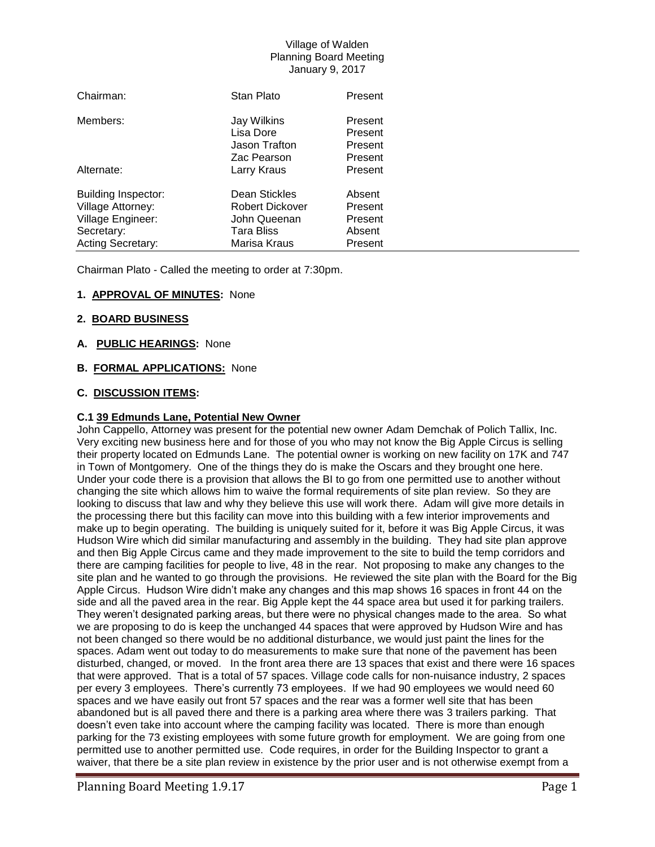| Chairman:                  | Stan Plato        | Present |
|----------------------------|-------------------|---------|
| Members:                   | Jay Wilkins       | Present |
|                            | Lisa Dore         | Present |
|                            | Jason Trafton     | Present |
|                            | Zac Pearson       | Present |
| Alternate:                 | Larry Kraus       | Present |
| <b>Building Inspector:</b> | Dean Stickles     | Absent  |
| Village Attorney:          | Robert Dickover   | Present |
| Village Engineer:          | John Queenan      | Present |
| Secretary:                 | <b>Tara Bliss</b> | Absent  |
| <b>Acting Secretary:</b>   | Marisa Kraus      | Present |

Chairman Plato - Called the meeting to order at 7:30pm.

# **1. APPROVAL OF MINUTES:** None

## **2. BOARD BUSINESS**

## **A. PUBLIC HEARINGS:** None

## **B. FORMAL APPLICATIONS:** None

## **C. DISCUSSION ITEMS:**

## **C.1 39 Edmunds Lane, Potential New Owner**

John Cappello, Attorney was present for the potential new owner Adam Demchak of Polich Tallix, Inc. Very exciting new business here and for those of you who may not know the Big Apple Circus is selling their property located on Edmunds Lane. The potential owner is working on new facility on 17K and 747 in Town of Montgomery. One of the things they do is make the Oscars and they brought one here. Under your code there is a provision that allows the BI to go from one permitted use to another without changing the site which allows him to waive the formal requirements of site plan review. So they are looking to discuss that law and why they believe this use will work there. Adam will give more details in the processing there but this facility can move into this building with a few interior improvements and make up to begin operating. The building is uniquely suited for it, before it was Big Apple Circus, it was Hudson Wire which did similar manufacturing and assembly in the building. They had site plan approve and then Big Apple Circus came and they made improvement to the site to build the temp corridors and there are camping facilities for people to live, 48 in the rear. Not proposing to make any changes to the site plan and he wanted to go through the provisions. He reviewed the site plan with the Board for the Big Apple Circus. Hudson Wire didn't make any changes and this map shows 16 spaces in front 44 on the side and all the paved area in the rear. Big Apple kept the 44 space area but used it for parking trailers. They weren't designated parking areas, but there were no physical changes made to the area. So what we are proposing to do is keep the unchanged 44 spaces that were approved by Hudson Wire and has not been changed so there would be no additional disturbance, we would just paint the lines for the spaces. Adam went out today to do measurements to make sure that none of the pavement has been disturbed, changed, or moved. In the front area there are 13 spaces that exist and there were 16 spaces that were approved. That is a total of 57 spaces. Village code calls for non-nuisance industry, 2 spaces per every 3 employees. There's currently 73 employees. If we had 90 employees we would need 60 spaces and we have easily out front 57 spaces and the rear was a former well site that has been abandoned but is all paved there and there is a parking area where there was 3 trailers parking. That doesn't even take into account where the camping facility was located. There is more than enough parking for the 73 existing employees with some future growth for employment. We are going from one permitted use to another permitted use. Code requires, in order for the Building Inspector to grant a waiver, that there be a site plan review in existence by the prior user and is not otherwise exempt from a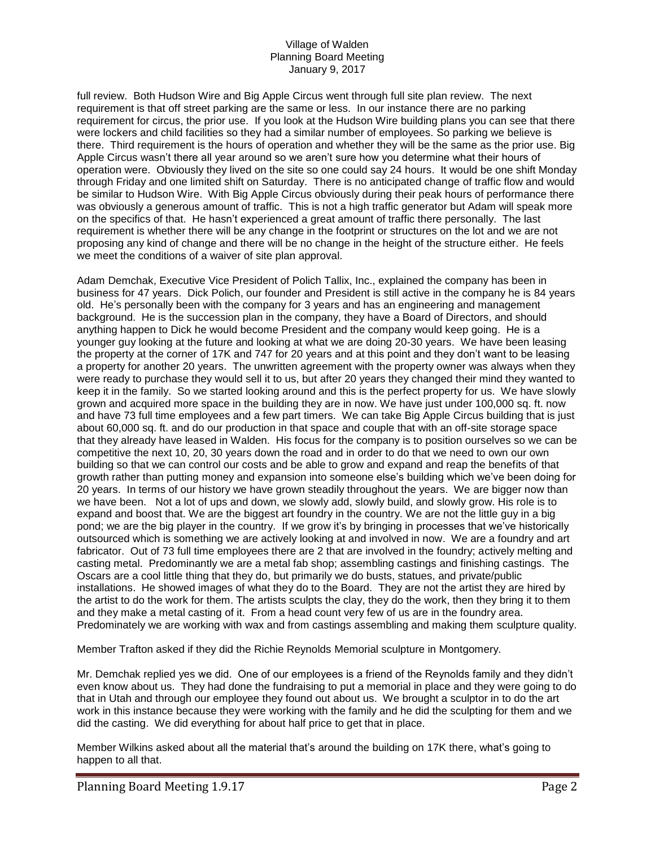full review. Both Hudson Wire and Big Apple Circus went through full site plan review. The next requirement is that off street parking are the same or less. In our instance there are no parking requirement for circus, the prior use. If you look at the Hudson Wire building plans you can see that there were lockers and child facilities so they had a similar number of employees. So parking we believe is there. Third requirement is the hours of operation and whether they will be the same as the prior use. Big Apple Circus wasn't there all year around so we aren't sure how you determine what their hours of operation were. Obviously they lived on the site so one could say 24 hours. It would be one shift Monday through Friday and one limited shift on Saturday. There is no anticipated change of traffic flow and would be similar to Hudson Wire. With Big Apple Circus obviously during their peak hours of performance there was obviously a generous amount of traffic. This is not a high traffic generator but Adam will speak more on the specifics of that. He hasn't experienced a great amount of traffic there personally. The last requirement is whether there will be any change in the footprint or structures on the lot and we are not proposing any kind of change and there will be no change in the height of the structure either. He feels we meet the conditions of a waiver of site plan approval.

Adam Demchak, Executive Vice President of Polich Tallix, Inc., explained the company has been in business for 47 years. Dick Polich, our founder and President is still active in the company he is 84 years old. He's personally been with the company for 3 years and has an engineering and management background. He is the succession plan in the company, they have a Board of Directors, and should anything happen to Dick he would become President and the company would keep going. He is a younger guy looking at the future and looking at what we are doing 20-30 years. We have been leasing the property at the corner of 17K and 747 for 20 years and at this point and they don't want to be leasing a property for another 20 years. The unwritten agreement with the property owner was always when they were ready to purchase they would sell it to us, but after 20 years they changed their mind they wanted to keep it in the family. So we started looking around and this is the perfect property for us. We have slowly grown and acquired more space in the building they are in now. We have just under 100,000 sq. ft. now and have 73 full time employees and a few part timers. We can take Big Apple Circus building that is just about 60,000 sq. ft. and do our production in that space and couple that with an off-site storage space that they already have leased in Walden. His focus for the company is to position ourselves so we can be competitive the next 10, 20, 30 years down the road and in order to do that we need to own our own building so that we can control our costs and be able to grow and expand and reap the benefits of that growth rather than putting money and expansion into someone else's building which we've been doing for 20 years. In terms of our history we have grown steadily throughout the years. We are bigger now than we have been. Not a lot of ups and down, we slowly add, slowly build, and slowly grow. His role is to expand and boost that. We are the biggest art foundry in the country. We are not the little guy in a big pond; we are the big player in the country. If we grow it's by bringing in processes that we've historically outsourced which is something we are actively looking at and involved in now. We are a foundry and art fabricator. Out of 73 full time employees there are 2 that are involved in the foundry; actively melting and casting metal. Predominantly we are a metal fab shop; assembling castings and finishing castings. The Oscars are a cool little thing that they do, but primarily we do busts, statues, and private/public installations. He showed images of what they do to the Board. They are not the artist they are hired by the artist to do the work for them. The artists sculpts the clay, they do the work, then they bring it to them and they make a metal casting of it. From a head count very few of us are in the foundry area. Predominately we are working with wax and from castings assembling and making them sculpture quality.

Member Trafton asked if they did the Richie Reynolds Memorial sculpture in Montgomery.

Mr. Demchak replied yes we did. One of our employees is a friend of the Reynolds family and they didn't even know about us. They had done the fundraising to put a memorial in place and they were going to do that in Utah and through our employee they found out about us. We brought a sculptor in to do the art work in this instance because they were working with the family and he did the sculpting for them and we did the casting. We did everything for about half price to get that in place.

Member Wilkins asked about all the material that's around the building on 17K there, what's going to happen to all that.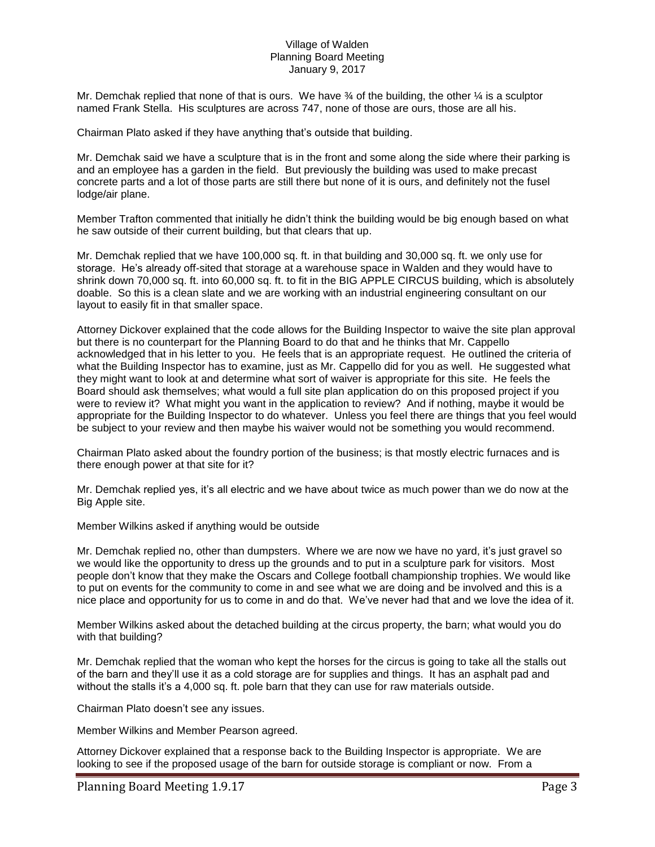Mr. Demchak replied that none of that is ours. We have  $\frac{3}{4}$  of the building, the other  $\frac{1}{4}$  is a sculptor named Frank Stella. His sculptures are across 747, none of those are ours, those are all his.

Chairman Plato asked if they have anything that's outside that building.

Mr. Demchak said we have a sculpture that is in the front and some along the side where their parking is and an employee has a garden in the field. But previously the building was used to make precast concrete parts and a lot of those parts are still there but none of it is ours, and definitely not the fusel lodge/air plane.

Member Trafton commented that initially he didn't think the building would be big enough based on what he saw outside of their current building, but that clears that up.

Mr. Demchak replied that we have 100,000 sq. ft. in that building and 30,000 sq. ft. we only use for storage. He's already off-sited that storage at a warehouse space in Walden and they would have to shrink down 70,000 sq. ft. into 60,000 sq. ft. to fit in the BIG APPLE CIRCUS building, which is absolutely doable. So this is a clean slate and we are working with an industrial engineering consultant on our layout to easily fit in that smaller space.

Attorney Dickover explained that the code allows for the Building Inspector to waive the site plan approval but there is no counterpart for the Planning Board to do that and he thinks that Mr. Cappello acknowledged that in his letter to you. He feels that is an appropriate request. He outlined the criteria of what the Building Inspector has to examine, just as Mr. Cappello did for you as well. He suggested what they might want to look at and determine what sort of waiver is appropriate for this site. He feels the Board should ask themselves; what would a full site plan application do on this proposed project if you were to review it? What might you want in the application to review? And if nothing, maybe it would be appropriate for the Building Inspector to do whatever. Unless you feel there are things that you feel would be subject to your review and then maybe his waiver would not be something you would recommend.

Chairman Plato asked about the foundry portion of the business; is that mostly electric furnaces and is there enough power at that site for it?

Mr. Demchak replied yes, it's all electric and we have about twice as much power than we do now at the Big Apple site.

Member Wilkins asked if anything would be outside

Mr. Demchak replied no, other than dumpsters. Where we are now we have no yard, it's just gravel so we would like the opportunity to dress up the grounds and to put in a sculpture park for visitors. Most people don't know that they make the Oscars and College football championship trophies. We would like to put on events for the community to come in and see what we are doing and be involved and this is a nice place and opportunity for us to come in and do that. We've never had that and we love the idea of it.

Member Wilkins asked about the detached building at the circus property, the barn; what would you do with that building?

Mr. Demchak replied that the woman who kept the horses for the circus is going to take all the stalls out of the barn and they'll use it as a cold storage are for supplies and things. It has an asphalt pad and without the stalls it's a 4,000 sq. ft. pole barn that they can use for raw materials outside.

Chairman Plato doesn't see any issues.

Member Wilkins and Member Pearson agreed.

Attorney Dickover explained that a response back to the Building Inspector is appropriate. We are looking to see if the proposed usage of the barn for outside storage is compliant or now. From a